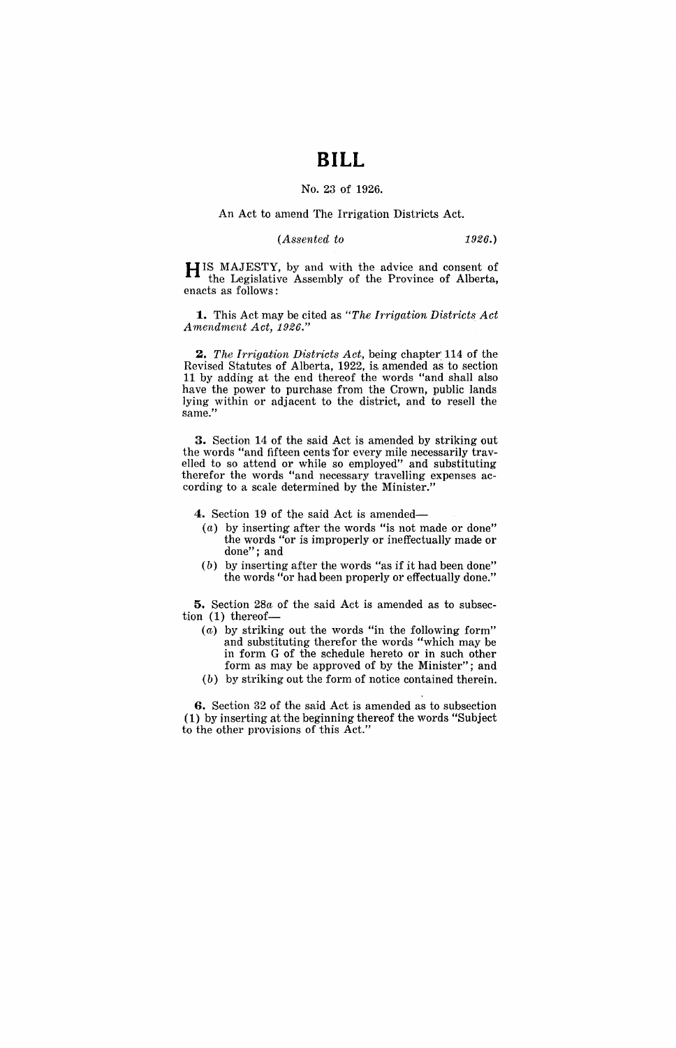# **BILL**

#### No. 23 of 1926.

#### An Act to amend The Irrigation Districts Act.

#### *(Assented to* 1926.)

H IS MAJESTY, by and with the advice and consent of the Legislative Assembly of the Province of Alberta, enacts as follows:

**1.** This Act may be cited as *"The Irrigation Districts Act Amendment Act, 1926."* 

*2. The Irrigation Districts Act,* being chapter: 114 of the Revised Statutes of Alberta, 1922, is, amended as to section 11 by adding at the end thereof the words "and shall also have the power to purchase from the Crown, public lands lying within or adjacent to the district, and to resell the same."

**3.** Section 14 of the said Act is amended by striking out the words "and fifteen cents for every mile necessarily travelled to so attend or while so employed" and substituting therefor the words "and necessary travelling expenses according to a scale determined by the Minister."

**4.** Section 19 of the said Act is amended-

- (a) by inserting after the words "is not made or done" the words "or is improperly or ineffectually made or done"; and
- (b) by inserting after the words "as if it had been done" the words "or had been properly or effectually done."

**5.** Section *28a* of the said Act is amended as to subsection (1) thereof-

- (a) by striking out the words "in the following form" and substituting therefor the words "which may be in form G of the schedule hereto or in such other form as may be approved of by the Minister"; and
- (b) by striking out the form of notice contained therein.

**6.** Section 32 of the said Act is amended as to subsection (1) by inserting at the beginning thereof the words "Subject to the other provisions of this Act."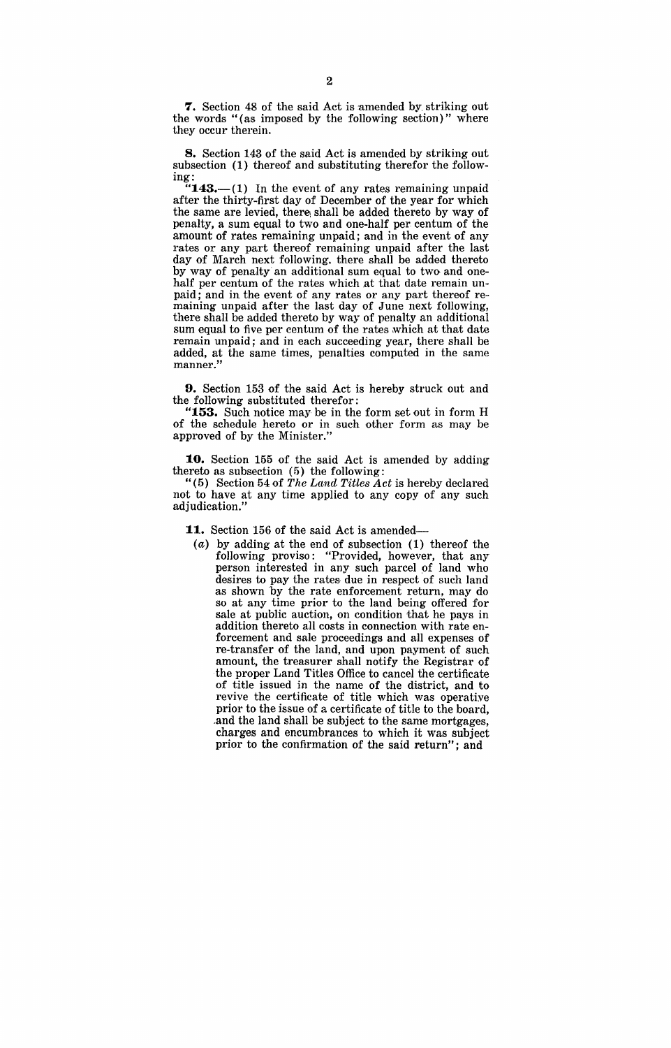**7.** Section 48 of the said Act is amended by striking out the words "(as imposed by the following section)" where they occur therein.

**8.** Section 143 of the said Act is amended by striking out subsection (1) thereof and substituting therefor the following:

 $"143$ .-(1) In the event of any rates remaining unpaid after the thirty-first day of December of the year for which the same are levied, there shall be added thereto by way of penalty, a sum equal to two and one-half per centum of the amount of rates remaining unpaid; and in the event of any rates or any part thereof remaining unpaid after the last day of March next following. there shall be added thereto by way of penalty an additional sum equal to two and onehalf per centum of the rates which at that date remain unpaid; and in the event of any rates or any part thereof remaining unpaid after the last day of June next following, there shall be added thereto by way of penalty an additional sum equal to five per centum of the rates which at that date remain unpaid; and in each succeeding year, there shall be added, at the same times, penalties computed in the same manner."

**9.** Section 153 of the said Act is hereby struck out and the following substituted therefor:

**153.** Such notice may be in the form set out in form H of the schedule hereto or in such other form as may be approved of by the Minister."

**10.** Section 155 of the said Act is amended by adding thereto as subsection (5) the following:

"( 5) Section 54 of *The Lcmd Titles Act* is hereby declared not to have at any time applied to any copy of any such adjudication."

**11.** Section 156 of the said Act is amended-

(a) by adding at the end of subsection (1) thereof the following proviso: "Provided, however, that any person interested in any such parcel of land who desires to pay the rates due in respect of such land as shown by the rate enforcement return, may do so at any time prior to the land being offered for sale at public auction, on condition that he pays in addition thereto all costs in connection with rate enforcement and sale proceedings and all expenses of re-transfer of the land, and upon payment of such amount, the treasurer shall notify the Registrar of the proper Land Titles Office to cancel the certificate of title issued in the name of the district, and to revive the certificate of title which was operative prior to the issue of a certificate of title to the board, .and the land shall be subject to the same mortgages, charges and encumbrances to which it was subject prior to the confirmation of the said return"; and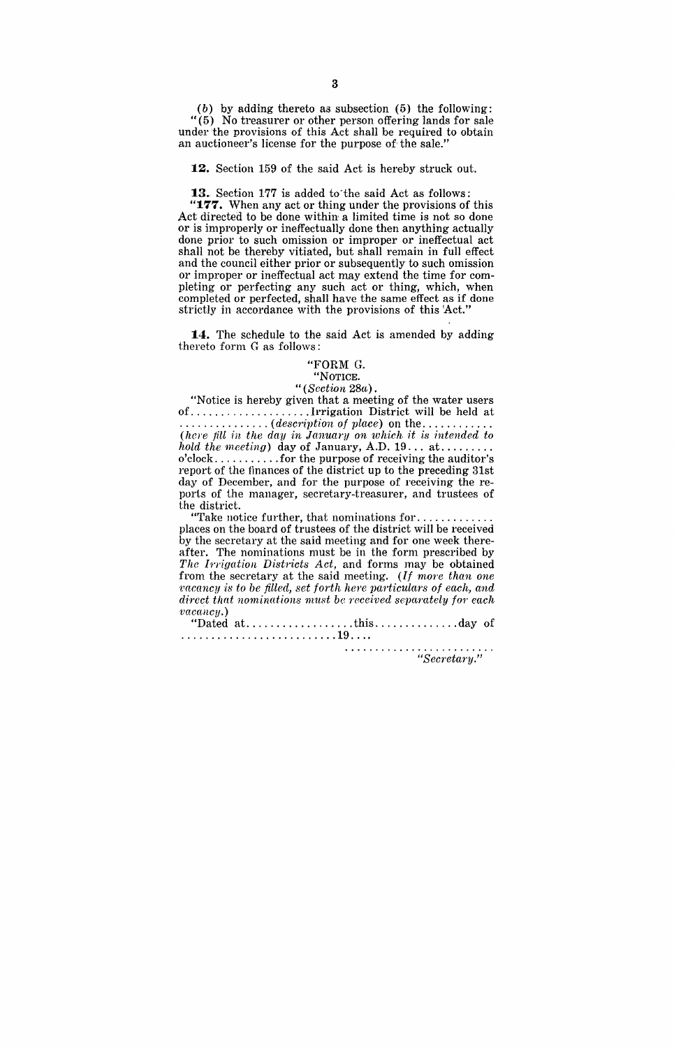(b) by adding thereto as subsection (5) the following: " (5) No treasurer or other person offering lands for sale under the provisions of this Act shall be required to obtain an auctioneer's license for the purpose of the sale."

**12.** Section 159 of the said Act is hereby struck out.

**13.** Section 177 is added to'the said Act as follows:

**"177.** When any act or thing under the provisions of this Act directed to be done within a limited time is not so done or is improperly or ineffectually done then anything actually done prior to such omission or improper or ineffectual act shall not be thereby vitiated, but shall remain in full effect and the council either prior or subsequently to such omission or improper or ineffectual act may extend the time for completing or perfecting any such act or thing, which, when completed or perfected, shall have the same effect as if done strictly in accordance with the provisions of this 'Act."

**14.** The schedule to the said Act is amended by adding thereto form G as follows:

#### "FORM G.

### "NOTICE.

#### <sup>"</sup>(Section 28a).

"Notice is hereby given that a meeting of the water users of, ..... ' ....... , ..... Irrigation District will be held at ............... ( *descl"iption of place)* on the ........... . (hem ftllin *the day in January on which it is intended to (here fill in the day in January on which it is intended to hold the meeting)* day of January, A.D. 19... at......... o'clock ........... for the purpose of receiving the auditor's report of the finances of the district up to the preceding 31st day of December, and for the purpose of receiving the reporis of ihe manager, secretary-treasurer, and trustees of

the district.<br>"Take notice further, that nominations for.. "Take notice further, that nominations for ............ . places on the board of trustees of the district will be received by the secretary at the said meeting and for one week thereafter. The nominations must be in the form prescribed by The Irrigation Districts Act, and forms may be obtained from the secretary at the said meeting. *(If more than one racancy is to be filled, set forth here particulars of each, and direct that nominations must be received separately for each*  $vacancy.$ )

"Dated at. ................. this .............. day of .......................... 19, ...

*"Secretwry,"*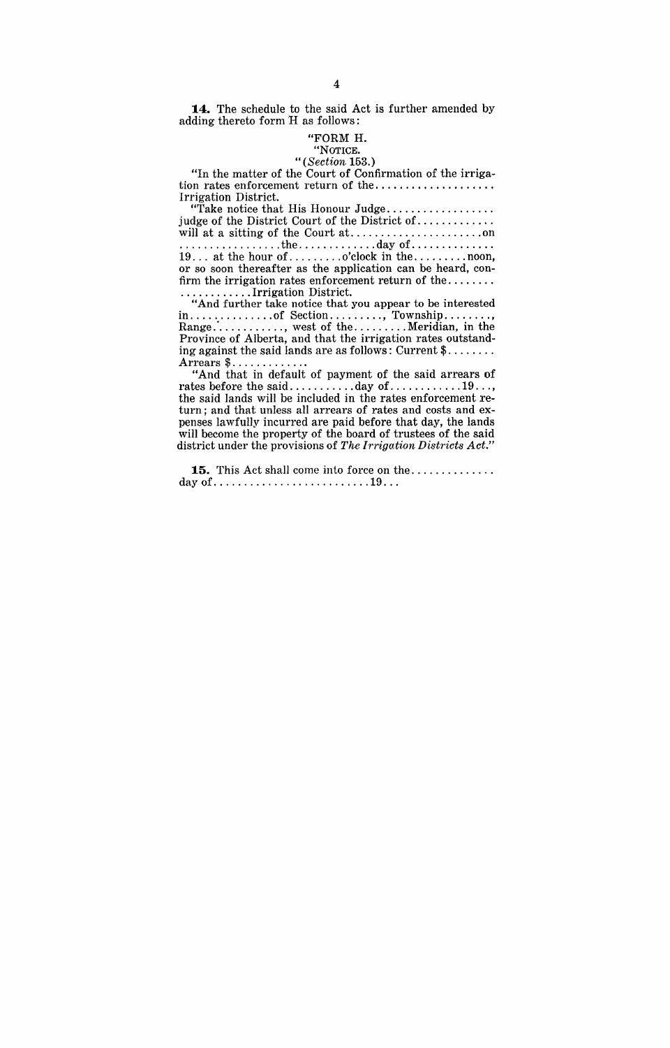**14.** The schedule to the said Act is further amended by adding thereto form H as follows:

#### "FORM H. "NOTICE.

#### *"(Section 153.)*

"In the matter of the Court of Confirmation of the irrigation rates enforcement return of the ................... . Irrigation District.

rigation District.<br>"Take notice that His Honour Judge................... judge of the District Court of the District of ............ . will at a sitting of the Court at. ..................... on ................. the ............. day of ............. . 19 ... at the hour of ......... o'clock in the ......... noon, or so soon thereafter as the application can be heard, confirm the irrigation rates enforcement return of the ....... of so soon thereared as the application can be heard, con-<br>firm the irrigation rates enforcement return of the ........

"And further take notice that you appear to be interested in .............. of Section ......... , Township ........ , Range: ........... , west of the ......... Meridian, in the Province of Alberta, and that the irrigation rates outstanding against the said lands are as follows: Current  $\frac{1}{2}$ .......

Arrears \$ ..............<br>"And that in default of payment of the said arrears of rates before the said.............day of ...............19.... the said lands will be included in the rates enforcement return; and that unless all arrears of rates and costs and expenses lawfully incurred are paid before that day, the lands will become the property of the board of trustees of the said district under the provisions of *The Irrigation Districts Act."* 

**15.** This Act shall come into force on the ............. . dayof .......................... 19 .. .